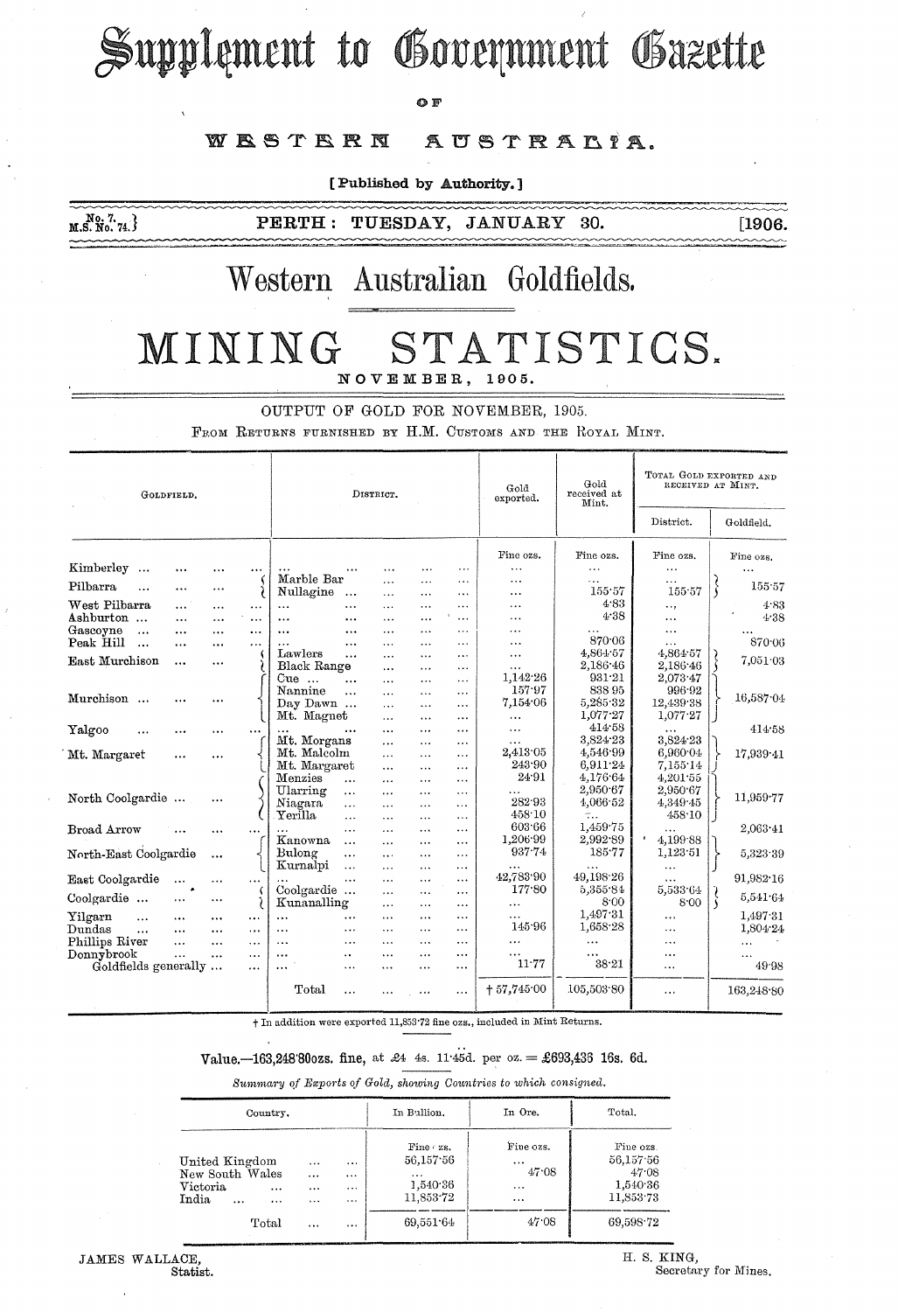# Supplement to Government Gazette

 $\Omega$  F

#### WESTERN AUSTRALIA.

[Published by Authority.]

 $M.S. N0. 74.$ 

PERTH: TUESDAY, JANUARY 30. [1906.

## Western Australian Goldfields.

### MINING STATISTICS. NOVEMBER, 1905.

OUTPUT OF GOLD FOR NOVEMBER, 1905, FROM RETURNS FURNISHED BY H.M. CUSTOMS AND THE ROYAL MINT.

| GOLDFIELD.                                      |                      |                      |                      | DISTRICT.             |                       |                       |                          |                      | Gold<br>exported.  | Gold<br>received at<br>Mint. | TOTAL GOLD EXPORTED AND<br>RECEIVED AT MINT. |                  |
|-------------------------------------------------|----------------------|----------------------|----------------------|-----------------------|-----------------------|-----------------------|--------------------------|----------------------|--------------------|------------------------------|----------------------------------------------|------------------|
|                                                 |                      |                      |                      |                       |                       |                       |                          |                      |                    |                              | $\mathop{\rm District.}\nolimits$            | Goldfield.       |
|                                                 |                      |                      |                      |                       |                       |                       |                          |                      | Fine ozs.          | Fine ozs.                    | Fine ozs.                                    | Fine ozs.        |
| Kimberley<br>$\ddotsc$                          | $\cdots$             |                      | $\cdots$             |                       |                       |                       |                          | $\cdots$             | .                  | $\cdots$                     | $\cdots$                                     | $\ddotsc$        |
| Pilbarra<br>$\ddotsc$                           |                      |                      |                      | Marble Bar            |                       | .                     | .                        | $\cdots$             | .                  | $\cdots$                     | $\cdots$                                     | 155.57           |
|                                                 |                      |                      | ì                    | Nullagine             | $\ddotsc$             | $\cdots$              |                          | $\cdots$             | $\ddotsc$          | 155.57<br>4.83               | 155.57                                       |                  |
| West Pilbarra                                   | $\cdots$             | $\cdots$             | $\cdots$             | $\cdots$              | $\cdots$              | $\cdots$              | $\cdots$                 | $\cdots$             | .                  | 4.38                         | e e g                                        | 4.83             |
| Ashburton                                       | $\cdots$             |                      | $\ddotsc$            | $\ddotsc$             | $\cdots$              | $\overline{a}$        | .                        | $\cdots$             |                    |                              | $\cdots$                                     | 4.38             |
| Gascoyne<br>$\ddotsc$<br>Peak Hill<br>$\ddotsc$ | $\cdots$<br>$\cdots$ | $\cdots$<br>$\cdots$ | $\cdots$<br>$\cdots$ | $\ddotsc$             | $\ddotsc$<br>$\cdots$ | $\cdots$<br>.         | $\cdots$<br>.            | .<br>.               | .<br>.             | 870.06                       | $\cdots$<br>.                                | 870.06           |
|                                                 |                      |                      |                      | Lawlers               | $\ddotsc$             | .                     | $\ddotsc$                | $\cdots$             | $\cdots$           | 4,864.57                     | 4,864.57                                     |                  |
| East Murchison                                  |                      | $\cdots$             |                      | Black Range           |                       | $\cdots$              | $\ddotsc$                | $\cdots$             | $\cdots$           | 2,186.46                     | 2,186.46                                     | 7,051.03         |
|                                                 |                      |                      |                      | $Cue$                 | $\cdots$              | $\cdots$              | $\ddotsc$                | $\cdots$             | 1,142.26           | 931.21                       | 2,073.47                                     |                  |
|                                                 |                      |                      |                      | Nannine               | $\cdots$              | $\cdots$              | $\cdots$                 | .                    | 157.97             | 838 95                       | 996.92                                       | 16,587.04        |
| Murchison                                       | .                    |                      |                      | Day Dawn              |                       | $\cdots$              | $\cdots$                 | $\cdots$             | 7,154.06           | 5,285.32                     | 12,439.38                                    |                  |
|                                                 |                      |                      |                      | Mt. Magnet            |                       | $\cdots$              | $\cdots$                 | .                    | $\ddotsc$          | 1,077.27                     | 1,077.27                                     |                  |
| Yalgoo<br>$\ddotsc$                             | .                    | $\cdots$             | $\cdots$             |                       | $\cdots$              | $\cdots$              | $\cdots$                 | $\cdots$             | $\ddotsc$          | 414.58                       | .                                            | 414.58           |
|                                                 |                      |                      |                      | Mt. Morgans           |                       | $\cdots$              | $\cdots$                 | $\cdots$             | $\cdots$           | 3,824.23                     | 3,824.23                                     |                  |
| Mt. Margaret                                    | $\cdots$             |                      |                      | Mt. Malcolm           |                       | $\cdots$              | $\ddotsc$                | $\cdots$             | 2,413.05<br>243.90 | 4,546.99                     | 6,960.04                                     | 17,939.41        |
|                                                 |                      |                      |                      | Mt. Margaret          |                       | $\cdots$              | $\cdots$                 | $\cdots$             | 24.91              | 6.911.24                     | 7,155.14                                     |                  |
|                                                 |                      |                      |                      | Menzies               | $\ddotsc$             | $\cdots$              | $\cdots$                 | $\cdots$             |                    | 4,176.64<br>2,950.67         | 4,201.55                                     |                  |
| North Coolgardie                                |                      |                      |                      | Ularring<br>Niagara   | $\cdots$              | $\cdots$              | .                        | $\cdots$             | $\cdots$<br>282.93 | 4,066.52                     | 2,950.67<br>4.349.45                         | 11,959.77        |
|                                                 |                      |                      |                      | Yerilla               | $\cdots$<br>$\cdots$  | $\cdots$              | $\ddotsc$                | $\cdots$             | 458.10             |                              | 458.10                                       |                  |
| Broad Arrow                                     |                      |                      |                      |                       | $\cdots$              | $\cdot$ .<br>$\cdots$ | $\cdots$<br>$\cdots$     | $\cdots$<br>$\cdots$ | 603.66             | 1,459.75                     | .                                            | $2,063 \cdot 41$ |
|                                                 |                      |                      |                      | Kanowna               | $\ddotsc$             | $\cdots$              | $\cdots$                 | $\cdots$             | 1.206.99           | 2,992.89                     | 4,199.88                                     |                  |
| North-East Coolgardie                           |                      | $\cdots$             |                      | Bulong                | $\ddotsc$             | $\cdots$              | $\cdots$                 | $\cdots$             | 937.74             | 185.77                       | 1,123.51                                     | 5,323.39         |
|                                                 |                      |                      |                      | Kurnalpi              | $\ddotsc$             | .                     |                          | $\cdots$             | $\cdots$           | $\ddotsc$                    | $\cdots$                                     |                  |
| East Coolgardie                                 | $\ddotsc$            | $\ddotsc$            | $\cdots$             | $\cdots$              | $\cdots$              | $\cdots$              | $\cdots$                 | $\cdots$             | 42,783.90          | 49,198.26                    | $\cdots$                                     | 91,982.16        |
|                                                 |                      |                      | K                    | Coolgardie            |                       | $\cdots$              | $\cdots$                 | $\cdots$             | 177.80             | 5,355.84                     | 5,533.64                                     |                  |
| Coolgardie                                      | $\cdots$             | $\cdots$             |                      | Kunanalling           |                       | .                     | $\overline{\phantom{a}}$ | $\cdots$             | $\cdots$           | 8.00                         | 8:00                                         | 5,541.64         |
| Yilgarn<br>$\ddotsc$                            |                      |                      | $\cdots$             | $\cdots$              | $\cdots$              | $\cdots$              | $\cdots$                 | $\ddotsc$            | $\cdots$           | 1,497.31                     | $\cdots$                                     | 1,497.31         |
| Dundas<br>$\cdots$                              | $\cdots$             | $\cdots$             | $\cdots$             | $\cdots$              | $\ddotsc$             |                       | $\ddotsc$                |                      | 145.96             | 1,658.28                     |                                              | 1,804.24         |
| Phillips River                                  | $\cdots$             | $\cdots$             | $\cdots$             | $\ddotsc$             | $\cdots$              | .                     | .                        | $\cdots$             | $\cdots$           | $\ddotsc$                    | .                                            | $\ddotsc$        |
| Donnybrook                                      | $\cdots$             | $\cdots$             | $\cdots$             | $\ddotsc$<br>$\cdots$ |                       | $\cdots$              | .                        | $\cdots$             | $\cdots$           | $\cdots$                     |                                              | $\cdots$         |
| Goldfields generally                            |                      |                      | $\cdots$             | $\cdots$              | $\ddotsc$             | $\cdots$              | .                        | $\sim$ $\sim$ $\sim$ | $11\,77$           | 38.21                        | $\cdots$                                     | 49.98            |
|                                                 |                      |                      |                      | Total                 | $\cdots$              | $\cdots$              | $\cdots$                 | $\ddotsc$            | $+57,745.00$       | 105,503.80                   | $\cdots$                                     | 163,248.80       |

t In addition were exported 11,853'72 fine ozs., included in Mint Returns.

Value.-163,248°80ozs. fine, at £4 4s. 11.45d. per  $oz = £693,436$  16s. 6d.

*Summary of Exports of Gold, showing Oountries to which consigned,* 

| Country.                                                                           |                                      |                                              | In Bullion.                                                                      | In Ore.                                        | Total.                                                   |  |
|------------------------------------------------------------------------------------|--------------------------------------|----------------------------------------------|----------------------------------------------------------------------------------|------------------------------------------------|----------------------------------------------------------|--|
| United Kingdom<br>New South Wales<br>Victoria<br>$\cdots$<br>India<br>$\cdots$<br> | $\cdots$<br>$\cdots$<br><br>$\cdots$ | $\cdots$<br>$\cdots$<br>$\cdots$<br>$\cdots$ | $\text{Fine} \cdot \text{zs.}$<br>56.157.56<br>$\cdots$<br>1,540.36<br>11,853.72 | Fine ozs.<br><br>47.08<br>$\cdots$<br>$\cdots$ | Fine ozs.<br>56,157.56<br>47.08<br>1,540.36<br>11,853.73 |  |
| Total                                                                              | 1.11                                 | $\cdots$                                     | 69,551.64                                                                        | 47.08                                          | 69,598.72                                                |  |

JAMES WALLACE,<br>Statist.

H, S, KING, Secretary for Mines.